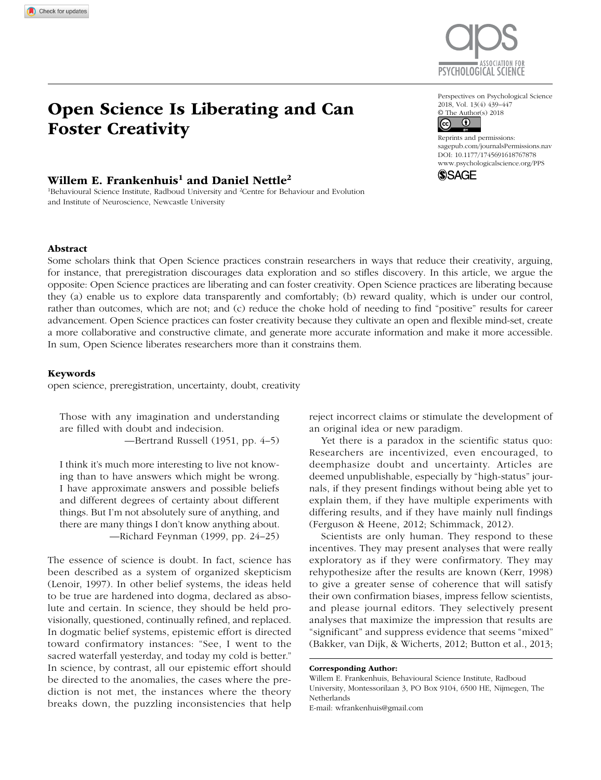# Open Science Is Liberating and Can Foster Creativity

# Willem E. Frankenhuis<sup>1</sup> and Daniel Nettle<sup>2</sup>

<sup>1</sup>Behavioural Science Institute, Radboud University and <sup>2</sup>Centre for Behaviour and Evolution and Institute of Neuroscience, Newcastle University



Perspectives on Psychological Science 2018, Vol. 13(4) 439–447 © The Author(s) 2018



Reprints and permissions: [sagepub.com/journalsPermissions.nav](https://sagepub.com/journalsPermissions.nav) DOI: [10.1177/1745691618767878](https://doi.org/10.1177/1745691618767878) [www.psychologicalscience.org/PPS](http://www.psychologicalscience.org/pps)



#### Abstract

Some scholars think that Open Science practices constrain researchers in ways that reduce their creativity, arguing, for instance, that preregistration discourages data exploration and so stifles discovery. In this article, we argue the opposite: Open Science practices are liberating and can foster creativity. Open Science practices are liberating because they (a) enable us to explore data transparently and comfortably; (b) reward quality, which is under our control, rather than outcomes, which are not; and (c) reduce the choke hold of needing to find "positive" results for career advancement. Open Science practices can foster creativity because they cultivate an open and flexible mind-set, create a more collaborative and constructive climate, and generate more accurate information and make it more accessible. In sum, Open Science liberates researchers more than it constrains them.

#### Keywords

open science, preregistration, uncertainty, doubt, creativity

Those with any imagination and understanding are filled with doubt and indecision. —Bertrand Russell (1951, pp. 4–5)

I think it's much more interesting to live not knowing than to have answers which might be wrong. I have approximate answers and possible beliefs and different degrees of certainty about different things. But I'm not absolutely sure of anything, and there are many things I don't know anything about. —Richard Feynman (1999, pp. 24–25)

The essence of science is doubt. In fact, science has been described as a system of organized skepticism (Lenoir, 1997). In other belief systems, the ideas held to be true are hardened into dogma, declared as absolute and certain. In science, they should be held provisionally, questioned, continually refined, and replaced. In dogmatic belief systems, epistemic effort is directed toward confirmatory instances: "See, I went to the sacred waterfall yesterday, and today my cold is better." In science, by contrast, all our epistemic effort should be directed to the anomalies, the cases where the prediction is not met, the instances where the theory breaks down, the puzzling inconsistencies that help reject incorrect claims or stimulate the development of an original idea or new paradigm.

Yet there is a paradox in the scientific status quo: Researchers are incentivized, even encouraged, to deemphasize doubt and uncertainty. Articles are deemed unpublishable, especially by "high-status" journals, if they present findings without being able yet to explain them, if they have multiple experiments with differing results, and if they have mainly null findings (Ferguson & Heene, 2012; Schimmack, 2012).

Scientists are only human. They respond to these incentives. They may present analyses that were really exploratory as if they were confirmatory. They may rehypothesize after the results are known (Kerr, 1998) to give a greater sense of coherence that will satisfy their own confirmation biases, impress fellow scientists, and please journal editors. They selectively present analyses that maximize the impression that results are "significant" and suppress evidence that seems "mixed" (Bakker, van Dijk, & Wicherts, 2012; Button et al., 2013;

E-mail: [wfrankenhuis@gmail.com](mailto:wfrankenhuis@gmail.com)

Corresponding Author:

Willem E. Frankenhuis, Behavioural Science Institute, Radboud University, Montessorilaan 3, PO Box 9104, 6500 HE, Nijmegen, The Netherlands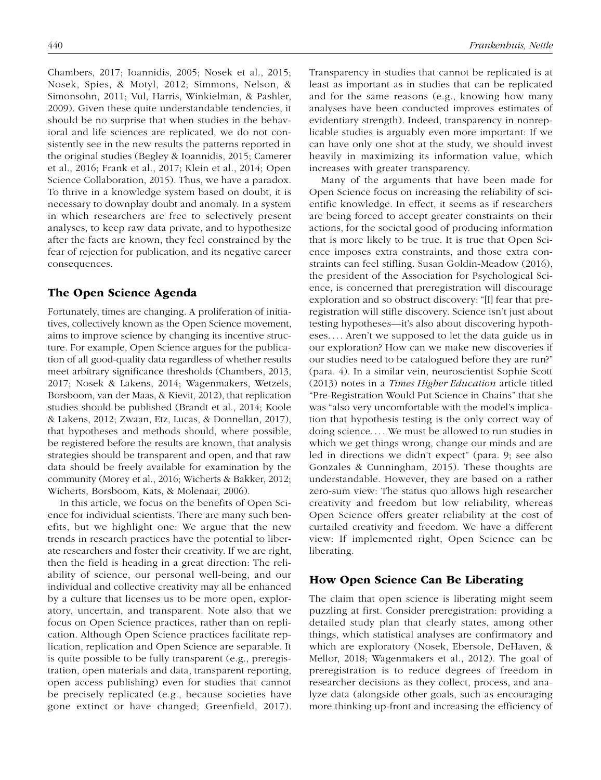Chambers, 2017; Ioannidis, 2005; Nosek et al., 2015; Nosek, Spies, & Motyl, 2012; Simmons, Nelson, & Simonsohn, 2011; Vul, Harris, Winkielman, & Pashler, 2009). Given these quite understandable tendencies, it should be no surprise that when studies in the behavioral and life sciences are replicated, we do not consistently see in the new results the patterns reported in the original studies (Begley & Ioannidis, 2015; Camerer et al., 2016; Frank et al., 2017; Klein et al., 2014; Open Science Collaboration, 2015). Thus, we have a paradox. To thrive in a knowledge system based on doubt, it is necessary to downplay doubt and anomaly. In a system in which researchers are free to selectively present analyses, to keep raw data private, and to hypothesize after the facts are known, they feel constrained by the fear of rejection for publication, and its negative career consequences.

## The Open Science Agenda

Fortunately, times are changing. A proliferation of initiatives, collectively known as the Open Science movement, aims to improve science by changing its incentive structure. For example, Open Science argues for the publication of all good-quality data regardless of whether results meet arbitrary significance thresholds (Chambers, 2013, 2017; Nosek & Lakens, 2014; Wagenmakers, Wetzels, Borsboom, van der Maas, & Kievit, 2012), that replication studies should be published (Brandt et al., 2014; Koole & Lakens, 2012; Zwaan, Etz, Lucas, & Donnellan, 2017), that hypotheses and methods should, where possible, be registered before the results are known, that analysis strategies should be transparent and open, and that raw data should be freely available for examination by the community (Morey et al., 2016; Wicherts & Bakker, 2012; Wicherts, Borsboom, Kats, & Molenaar, 2006).

In this article, we focus on the benefits of Open Science for individual scientists. There are many such benefits, but we highlight one: We argue that the new trends in research practices have the potential to liberate researchers and foster their creativity. If we are right, then the field is heading in a great direction: The reliability of science, our personal well-being, and our individual and collective creativity may all be enhanced by a culture that licenses us to be more open, exploratory, uncertain, and transparent. Note also that we focus on Open Science practices, rather than on replication. Although Open Science practices facilitate replication, replication and Open Science are separable. It is quite possible to be fully transparent (e.g., preregistration, open materials and data, transparent reporting, open access publishing) even for studies that cannot be precisely replicated (e.g., because societies have gone extinct or have changed; Greenfield, 2017). Transparency in studies that cannot be replicated is at least as important as in studies that can be replicated and for the same reasons (e.g., knowing how many analyses have been conducted improves estimates of evidentiary strength). Indeed, transparency in nonreplicable studies is arguably even more important: If we can have only one shot at the study, we should invest heavily in maximizing its information value, which increases with greater transparency.

Many of the arguments that have been made for Open Science focus on increasing the reliability of scientific knowledge. In effect, it seems as if researchers are being forced to accept greater constraints on their actions, for the societal good of producing information that is more likely to be true. It is true that Open Science imposes extra constraints, and those extra constraints can feel stifling. Susan Goldin-Meadow (2016), the president of the Association for Psychological Science, is concerned that preregistration will discourage exploration and so obstruct discovery: "[I] fear that preregistration will stifle discovery. Science isn't just about testing hypotheses—it's also about discovering hypotheses. . . . Aren't we supposed to let the data guide us in our exploration? How can we make new discoveries if our studies need to be catalogued before they are run?" (para. 4). In a similar vein, neuroscientist Sophie Scott (2013) notes in a *Times Higher Education* article titled "Pre-Registration Would Put Science in Chains" that she was "also very uncomfortable with the model's implication that hypothesis testing is the only correct way of doing science. . . . We must be allowed to run studies in which we get things wrong, change our minds and are led in directions we didn't expect" (para. 9; see also Gonzales & Cunningham, 2015). These thoughts are understandable. However, they are based on a rather zero-sum view: The status quo allows high researcher creativity and freedom but low reliability, whereas Open Science offers greater reliability at the cost of curtailed creativity and freedom. We have a different view: If implemented right, Open Science can be liberating.

# How Open Science Can Be Liberating

The claim that open science is liberating might seem puzzling at first. Consider preregistration: providing a detailed study plan that clearly states, among other things, which statistical analyses are confirmatory and which are exploratory (Nosek, Ebersole, DeHaven, & Mellor, 2018; Wagenmakers et al., 2012). The goal of preregistration is to reduce degrees of freedom in researcher decisions as they collect, process, and analyze data (alongside other goals, such as encouraging more thinking up-front and increasing the efficiency of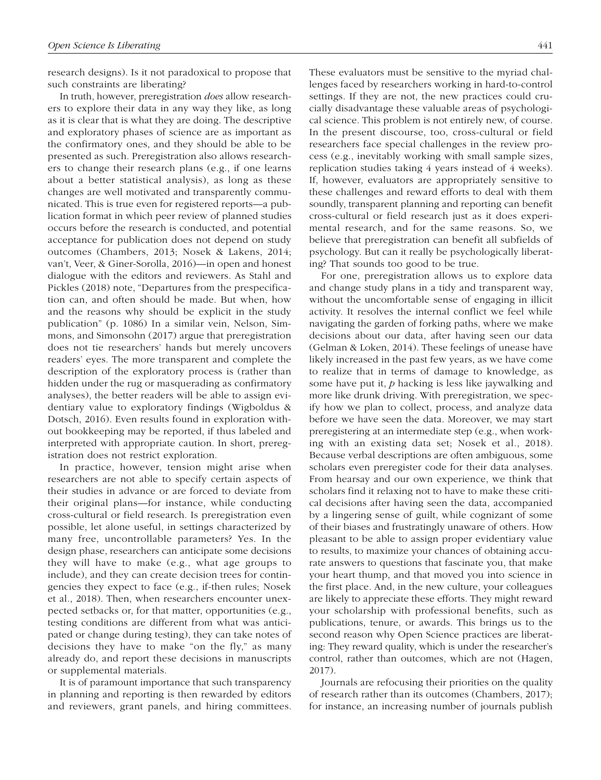research designs). Is it not paradoxical to propose that such constraints are liberating?

In truth, however, preregistration *does* allow researchers to explore their data in any way they like, as long as it is clear that is what they are doing. The descriptive and exploratory phases of science are as important as the confirmatory ones, and they should be able to be presented as such. Preregistration also allows researchers to change their research plans (e.g., if one learns about a better statistical analysis), as long as these changes are well motivated and transparently communicated. This is true even for registered reports—a publication format in which peer review of planned studies occurs before the research is conducted, and potential acceptance for publication does not depend on study outcomes (Chambers, 2013; Nosek & Lakens, 2014; van't, Veer, & Giner-Sorolla, 2016)—in open and honest dialogue with the editors and reviewers. As Stahl and Pickles (2018) note, "Departures from the prespecification can, and often should be made. But when, how and the reasons why should be explicit in the study publication" (p. 1086) In a similar vein, Nelson, Simmons, and Simonsohn (2017) argue that preregistration does not tie researchers' hands but merely uncovers readers' eyes. The more transparent and complete the description of the exploratory process is (rather than hidden under the rug or masquerading as confirmatory analyses), the better readers will be able to assign evidentiary value to exploratory findings (Wigboldus & Dotsch, 2016). Even results found in exploration without bookkeeping may be reported, if thus labeled and interpreted with appropriate caution. In short, preregistration does not restrict exploration.

In practice, however, tension might arise when researchers are not able to specify certain aspects of their studies in advance or are forced to deviate from their original plans—for instance, while conducting cross-cultural or field research. Is preregistration even possible, let alone useful, in settings characterized by many free, uncontrollable parameters? Yes. In the design phase, researchers can anticipate some decisions they will have to make (e.g., what age groups to include), and they can create decision trees for contingencies they expect to face (e.g., if-then rules; Nosek et al., 2018). Then, when researchers encounter unexpected setbacks or, for that matter, opportunities (e.g., testing conditions are different from what was anticipated or change during testing), they can take notes of decisions they have to make "on the fly," as many already do, and report these decisions in manuscripts or supplemental materials.

It is of paramount importance that such transparency in planning and reporting is then rewarded by editors and reviewers, grant panels, and hiring committees. These evaluators must be sensitive to the myriad challenges faced by researchers working in hard-to-control settings. If they are not, the new practices could crucially disadvantage these valuable areas of psychological science. This problem is not entirely new, of course. In the present discourse, too, cross-cultural or field researchers face special challenges in the review process (e.g., inevitably working with small sample sizes, replication studies taking 4 years instead of 4 weeks). If, however, evaluators are appropriately sensitive to these challenges and reward efforts to deal with them soundly, transparent planning and reporting can benefit cross-cultural or field research just as it does experimental research, and for the same reasons. So, we believe that preregistration can benefit all subfields of psychology. But can it really be psychologically liberating? That sounds too good to be true.

For one, preregistration allows us to explore data and change study plans in a tidy and transparent way, without the uncomfortable sense of engaging in illicit activity. It resolves the internal conflict we feel while navigating the garden of forking paths, where we make decisions about our data, after having seen our data (Gelman & Loken, 2014). These feelings of unease have likely increased in the past few years, as we have come to realize that in terms of damage to knowledge, as some have put it, *p* hacking is less like jaywalking and more like drunk driving. With preregistration, we specify how we plan to collect, process, and analyze data before we have seen the data. Moreover, we may start preregistering at an intermediate step (e.g., when working with an existing data set; Nosek et al., 2018). Because verbal descriptions are often ambiguous, some scholars even preregister code for their data analyses. From hearsay and our own experience, we think that scholars find it relaxing not to have to make these critical decisions after having seen the data, accompanied by a lingering sense of guilt, while cognizant of some of their biases and frustratingly unaware of others. How pleasant to be able to assign proper evidentiary value to results, to maximize your chances of obtaining accurate answers to questions that fascinate you, that make your heart thump, and that moved you into science in the first place. And, in the new culture, your colleagues are likely to appreciate these efforts. They might reward your scholarship with professional benefits, such as publications, tenure, or awards. This brings us to the second reason why Open Science practices are liberating: They reward quality, which is under the researcher's control, rather than outcomes, which are not (Hagen, 2017).

Journals are refocusing their priorities on the quality of research rather than its outcomes (Chambers, 2017); for instance, an increasing number of journals publish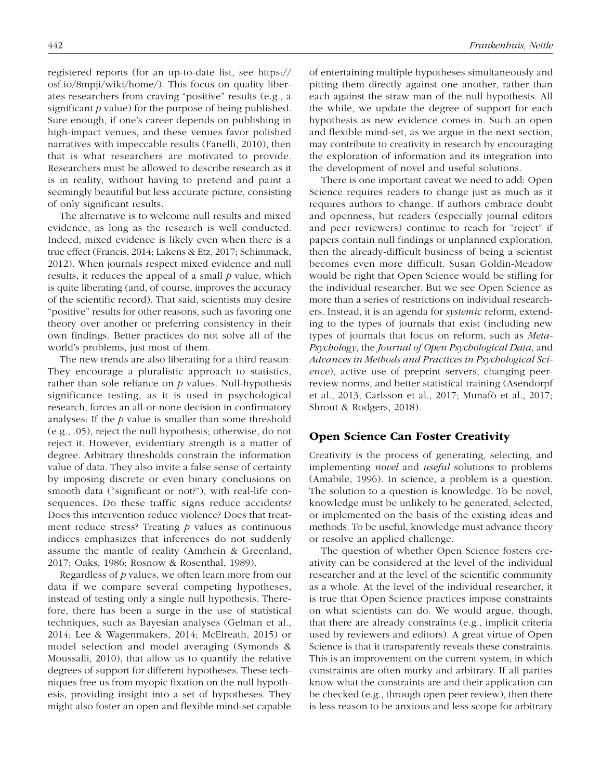registered reports (for an up-to-date list, see [https://](https://osf.io/8mpji/wiki/home/) [osf.io/8mpji/wiki/home/\)](https://osf.io/8mpji/wiki/home/). This focus on quality liberates researchers from craving "positive" results (e.g., a significant *p* value) for the purpose of being published. Sure enough, if one's career depends on publishing in high-impact venues, and these venues favor polished narratives with impeccable results (Fanelli, 2010), then that is what researchers are motivated to provide. Researchers must be allowed to describe research as it is in reality, without having to pretend and paint a seemingly beautiful but less accurate picture, consisting of only significant results.

The alternative is to welcome null results and mixed evidence, as long as the research is well conducted. Indeed, mixed evidence is likely even when there is a true effect (Francis, 2014; Lakens & Etz, 2017; Schimmack, 2012). When journals respect mixed evidence and null results, it reduces the appeal of a small *p* value, which is quite liberating (and, of course, improves the accuracy of the scientific record). That said, scientists may desire "positive" results for other reasons, such as favoring one theory over another or preferring consistency in their own findings. Better practices do not solve all of the world's problems, just most of them.

The new trends are also liberating for a third reason: They encourage a pluralistic approach to statistics, rather than sole reliance on *p* values. Null-hypothesis significance testing, as it is used in psychological research, forces an all-or-none decision in confirmatory analyses: If the *p* value is smaller than some threshold (e.g., .05), reject the null hypothesis; otherwise, do not reject it. However, evidentiary strength is a matter of degree. Arbitrary thresholds constrain the information value of data. They also invite a false sense of certainty by imposing discrete or even binary conclusions on smooth data ("significant or not?"), with real-life consequences. Do these traffic signs reduce accidents? Does this intervention reduce violence? Does that treatment reduce stress? Treating *p* values as continuous indices emphasizes that inferences do not suddenly assume the mantle of reality (Amrhein & Greenland, 2017; Oaks, 1986; Rosnow & Rosenthal, 1989).

Regardless of *p* values, we often learn more from our data if we compare several competing hypotheses, instead of testing only a single null hypothesis. Therefore, there has been a surge in the use of statistical techniques, such as Bayesian analyses (Gelman et al., 2014; Lee & Wagenmakers, 2014; McElreath, 2015) or model selection and model averaging (Symonds & Moussalli, 2010), that allow us to quantify the relative degrees of support for different hypotheses. These techniques free us from myopic fixation on the null hypothesis, providing insight into a set of hypotheses. They might also foster an open and flexible mind-set capable of entertaining multiple hypotheses simultaneously and pitting them directly against one another, rather than each against the straw man of the null hypothesis. All the while, we update the degree of support for each hypothesis as new evidence comes in. Such an open and flexible mind-set, as we argue in the next section, may contribute to creativity in research by encouraging the exploration of information and its integration into the development of novel and useful solutions.

There is one important caveat we need to add: Open Science requires readers to change just as much as it requires authors to change. If authors embrace doubt and openness, but readers (especially journal editors and peer reviewers) continue to reach for "reject" if papers contain null findings or unplanned exploration, then the already-difficult business of being a scientist becomes even more difficult. Susan Goldin-Meadow would be right that Open Science would be stifling for the individual researcher. But we see Open Science as more than a series of restrictions on individual researchers. Instead, it is an agenda for *systemic* reform, extending to the types of journals that exist (including new types of journals that focus on reform, such as *Meta-Psychology*, the *Journal of Open Psychological Data*, and *Advances in Methods and Practices in Psychological Science*), active use of preprint servers, changing peerreview norms, and better statistical training (Asendorpf et al., 2013; Carlsson et al., 2017; Munafò et al., 2017; Shrout & Rodgers, 2018).

## Open Science Can Foster Creativity

Creativity is the process of generating, selecting, and implementing *novel* and *useful* solutions to problems (Amabile, 1996). In science, a problem is a question. The solution to a question is knowledge. To be novel, knowledge must be unlikely to be generated, selected, or implemented on the basis of the existing ideas and methods. To be useful, knowledge must advance theory or resolve an applied challenge.

The question of whether Open Science fosters creativity can be considered at the level of the individual researcher and at the level of the scientific community as a whole. At the level of the individual researcher, it is true that Open Science practices impose constraints on what scientists can do. We would argue, though, that there are already constraints (e.g., implicit criteria used by reviewers and editors). A great virtue of Open Science is that it transparently reveals these constraints. This is an improvement on the current system, in which constraints are often murky and arbitrary. If all parties know what the constraints are and their application can be checked (e.g., through open peer review), then there is less reason to be anxious and less scope for arbitrary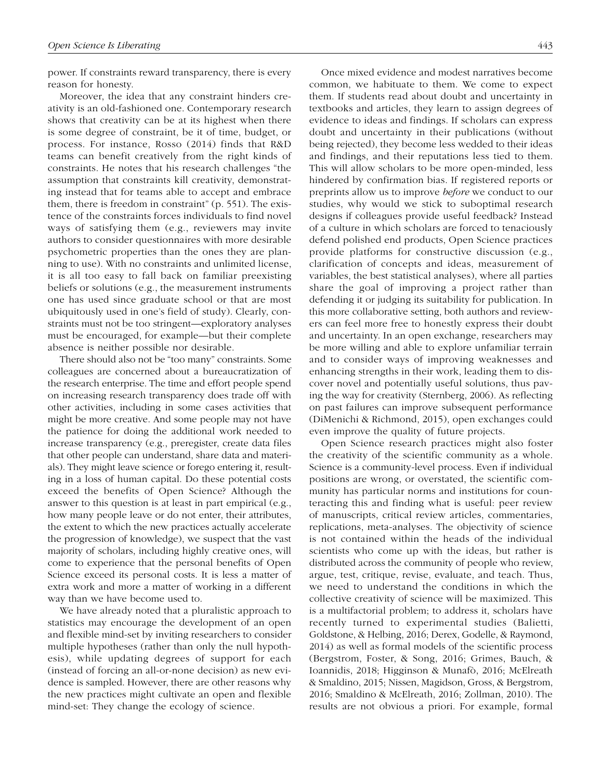power. If constraints reward transparency, there is every reason for honesty.

Moreover, the idea that any constraint hinders creativity is an old-fashioned one. Contemporary research shows that creativity can be at its highest when there is some degree of constraint, be it of time, budget, or process. For instance, Rosso (2014) finds that R&D teams can benefit creatively from the right kinds of constraints. He notes that his research challenges "the assumption that constraints kill creativity, demonstrating instead that for teams able to accept and embrace them, there is freedom in constraint" (p. 551). The existence of the constraints forces individuals to find novel ways of satisfying them (e.g., reviewers may invite authors to consider questionnaires with more desirable psychometric properties than the ones they are planning to use). With no constraints and unlimited license, it is all too easy to fall back on familiar preexisting beliefs or solutions (e.g., the measurement instruments one has used since graduate school or that are most ubiquitously used in one's field of study). Clearly, constraints must not be too stringent—exploratory analyses must be encouraged, for example—but their complete absence is neither possible nor desirable.

There should also not be "too many" constraints. Some colleagues are concerned about a bureaucratization of the research enterprise. The time and effort people spend on increasing research transparency does trade off with other activities, including in some cases activities that might be more creative. And some people may not have the patience for doing the additional work needed to increase transparency (e.g., preregister, create data files that other people can understand, share data and materials). They might leave science or forego entering it, resulting in a loss of human capital. Do these potential costs exceed the benefits of Open Science? Although the answer to this question is at least in part empirical (e.g., how many people leave or do not enter, their attributes, the extent to which the new practices actually accelerate the progression of knowledge), we suspect that the vast majority of scholars, including highly creative ones, will come to experience that the personal benefits of Open Science exceed its personal costs. It is less a matter of extra work and more a matter of working in a different way than we have become used to.

We have already noted that a pluralistic approach to statistics may encourage the development of an open and flexible mind-set by inviting researchers to consider multiple hypotheses (rather than only the null hypothesis), while updating degrees of support for each (instead of forcing an all-or-none decision) as new evidence is sampled. However, there are other reasons why the new practices might cultivate an open and flexible mind-set: They change the ecology of science.

Once mixed evidence and modest narratives become common, we habituate to them. We come to expect them. If students read about doubt and uncertainty in textbooks and articles, they learn to assign degrees of evidence to ideas and findings. If scholars can express doubt and uncertainty in their publications (without being rejected), they become less wedded to their ideas and findings, and their reputations less tied to them. This will allow scholars to be more open-minded, less hindered by confirmation bias. If registered reports or preprints allow us to improve *before* we conduct to our studies, why would we stick to suboptimal research designs if colleagues provide useful feedback? Instead of a culture in which scholars are forced to tenaciously defend polished end products, Open Science practices provide platforms for constructive discussion (e.g., clarification of concepts and ideas, measurement of variables, the best statistical analyses), where all parties share the goal of improving a project rather than defending it or judging its suitability for publication. In this more collaborative setting, both authors and reviewers can feel more free to honestly express their doubt and uncertainty. In an open exchange, researchers may be more willing and able to explore unfamiliar terrain and to consider ways of improving weaknesses and enhancing strengths in their work, leading them to discover novel and potentially useful solutions, thus paving the way for creativity (Sternberg, 2006). As reflecting on past failures can improve subsequent performance (DiMenichi & Richmond, 2015), open exchanges could even improve the quality of future projects.

Open Science research practices might also foster the creativity of the scientific community as a whole. Science is a community-level process. Even if individual positions are wrong, or overstated, the scientific community has particular norms and institutions for counteracting this and finding what is useful: peer review of manuscripts, critical review articles, commentaries, replications, meta-analyses. The objectivity of science is not contained within the heads of the individual scientists who come up with the ideas, but rather is distributed across the community of people who review, argue, test, critique, revise, evaluate, and teach. Thus, we need to understand the conditions in which the collective creativity of science will be maximized. This is a multifactorial problem; to address it, scholars have recently turned to experimental studies (Balietti, Goldstone, & Helbing, 2016; Derex, Godelle, & Raymond, 2014) as well as formal models of the scientific process (Bergstrom, Foster, & Song, 2016; Grimes, Bauch, & Ioannidis, 2018; Higginson & Munafò, 2016; McElreath & Smaldino, 2015; Nissen, Magidson, Gross, & Bergstrom, 2016; Smaldino & McElreath, 2016; Zollman, 2010). The results are not obvious a priori. For example, formal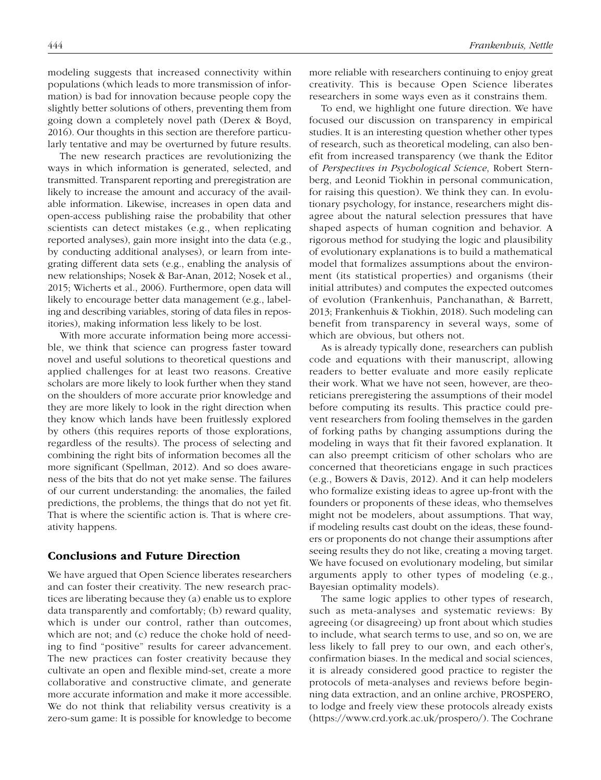modeling suggests that increased connectivity within populations (which leads to more transmission of information) is bad for innovation because people copy the slightly better solutions of others, preventing them from going down a completely novel path (Derex & Boyd, 2016). Our thoughts in this section are therefore particularly tentative and may be overturned by future results.

The new research practices are revolutionizing the ways in which information is generated, selected, and transmitted. Transparent reporting and preregistration are likely to increase the amount and accuracy of the available information. Likewise, increases in open data and open-access publishing raise the probability that other scientists can detect mistakes (e.g., when replicating reported analyses), gain more insight into the data (e.g., by conducting additional analyses), or learn from integrating different data sets (e.g., enabling the analysis of new relationships; Nosek & Bar-Anan, 2012; Nosek et al., 2015; Wicherts et al., 2006). Furthermore, open data will likely to encourage better data management (e.g., labeling and describing variables, storing of data files in repositories), making information less likely to be lost.

With more accurate information being more accessible, we think that science can progress faster toward novel and useful solutions to theoretical questions and applied challenges for at least two reasons. Creative scholars are more likely to look further when they stand on the shoulders of more accurate prior knowledge and they are more likely to look in the right direction when they know which lands have been fruitlessly explored by others (this requires reports of those explorations, regardless of the results). The process of selecting and combining the right bits of information becomes all the more significant (Spellman, 2012). And so does awareness of the bits that do not yet make sense. The failures of our current understanding: the anomalies, the failed predictions, the problems, the things that do not yet fit. That is where the scientific action is. That is where creativity happens.

## Conclusions and Future Direction

We have argued that Open Science liberates researchers and can foster their creativity. The new research practices are liberating because they (a) enable us to explore data transparently and comfortably; (b) reward quality, which is under our control, rather than outcomes, which are not; and (c) reduce the choke hold of needing to find "positive" results for career advancement. The new practices can foster creativity because they cultivate an open and flexible mind-set, create a more collaborative and constructive climate, and generate more accurate information and make it more accessible. We do not think that reliability versus creativity is a zero-sum game: It is possible for knowledge to become more reliable with researchers continuing to enjoy great creativity. This is because Open Science liberates researchers in some ways even as it constrains them.

To end, we highlight one future direction. We have focused our discussion on transparency in empirical studies. It is an interesting question whether other types of research, such as theoretical modeling, can also benefit from increased transparency (we thank the Editor of *Perspectives in Psychological Science*, Robert Sternberg, and Leonid Tiokhin in personal communication, for raising this question). We think they can. In evolutionary psychology, for instance, researchers might disagree about the natural selection pressures that have shaped aspects of human cognition and behavior. A rigorous method for studying the logic and plausibility of evolutionary explanations is to build a mathematical model that formalizes assumptions about the environment (its statistical properties) and organisms (their initial attributes) and computes the expected outcomes of evolution (Frankenhuis, Panchanathan, & Barrett, 2013; Frankenhuis & Tiokhin, 2018). Such modeling can benefit from transparency in several ways, some of which are obvious, but others not.

As is already typically done, researchers can publish code and equations with their manuscript, allowing readers to better evaluate and more easily replicate their work. What we have not seen, however, are theoreticians preregistering the assumptions of their model before computing its results. This practice could prevent researchers from fooling themselves in the garden of forking paths by changing assumptions during the modeling in ways that fit their favored explanation. It can also preempt criticism of other scholars who are concerned that theoreticians engage in such practices (e.g., Bowers & Davis, 2012). And it can help modelers who formalize existing ideas to agree up-front with the founders or proponents of these ideas, who themselves might not be modelers, about assumptions. That way, if modeling results cast doubt on the ideas, these founders or proponents do not change their assumptions after seeing results they do not like, creating a moving target. We have focused on evolutionary modeling, but similar arguments apply to other types of modeling (e.g., Bayesian optimality models).

The same logic applies to other types of research, such as meta-analyses and systematic reviews: By agreeing (or disagreeing) up front about which studies to include, what search terms to use, and so on, we are less likely to fall prey to our own, and each other's, confirmation biases. In the medical and social sciences, it is already considered good practice to register the protocols of meta-analyses and reviews before beginning data extraction, and an online archive, PROSPERO, to lodge and freely view these protocols already exists [\(https://www.crd.york.ac.uk/prospero/](https://www.crd.york.ac.uk/prospero/)). The Cochrane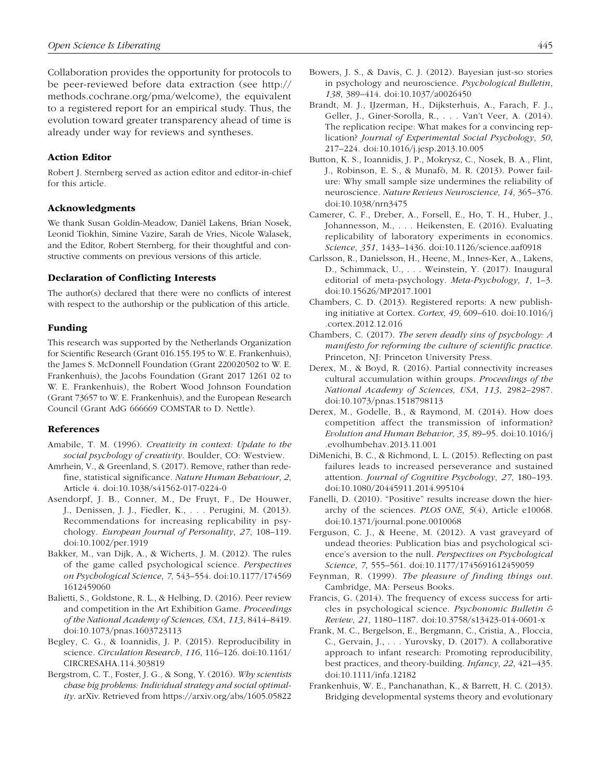Collaboration provides the opportunity for protocols to be peer-reviewed before data extraction (see [http://](http://methods.cochrane.org/pma/welcome) [methods.cochrane.org/pma/welcome](http://methods.cochrane.org/pma/welcome)), the equivalent to a registered report for an empirical study. Thus, the evolution toward greater transparency ahead of time is already under way for reviews and syntheses.

### Action Editor

Robert J. Sternberg served as action editor and editor-in-chief for this article.

#### Acknowledgments

We thank Susan Goldin-Meadow, Daniël Lakens, Brian Nosek, Leonid Tiokhin, Simine Vazire, Sarah de Vries, Nicole Walasek, and the Editor, Robert Sternberg, for their thoughtful and constructive comments on previous versions of this article.

#### Declaration of Conflicting Interests

The author(s) declared that there were no conflicts of interest with respect to the authorship or the publication of this article.

#### Funding

This research was supported by the Netherlands Organization for Scientific Research (Grant 016.155.195 to W. E. Frankenhuis), the James S. McDonnell Foundation (Grant 220020502 to W. E. Frankenhuis), the Jacobs Foundation (Grant 2017 1261 02 to W. E. Frankenhuis), the Robert Wood Johnson Foundation (Grant 73657 to W. E. Frankenhuis), and the European Research Council (Grant AdG 666669 COMSTAR to D. Nettle).

#### References

- Amabile, T. M. (1996). *Creativity in context: Update to the social psychology of creativity*. Boulder, CO: Westview.
- Amrhein, V., & Greenland, S. (2017). Remove, rather than redefine, statistical significance. *Nature Human Behaviour*, *2*, Article 4. [doi:10.1038/s41562-017-0224-0](http://doi:10.1038/s41562-017-0224-0)
- Asendorpf, J. B., Conner, M., De Fruyt, F., De Houwer, J., Denissen, J. J., Fiedler, K., . . . Perugini, M. (2013). Recommendations for increasing replicability in psychology. *European Journal of Personality*, *27*, 108–119. [doi:10.1002/per.1919](http://doi:10.1002/per.1919)
- Bakker, M., van Dijk, A., & Wicherts, J. M. (2012). The rules of the game called psychological science. *Perspectives on Psychological Science*, *7*, 543–554. [doi:10.1177/174569](http://doi:10.1177/174569
1612459060) [1612459060](http://doi:10.1177/174569
1612459060)
- Balietti, S., Goldstone, R. L., & Helbing, D. (2016). Peer review and competition in the Art Exhibition Game. *Proceedings of the National Academy of Sciences, USA*, *113*, 8414–8419. [doi:10.1073/pnas.1603723113](http://doi:10.1073/pnas.1603723113)
- Begley, C. G., & Ioannidis, J. P. (2015). Reproducibility in science. *Circulation Research*, *116*, 116–126. [doi:10.1161/](http://doi:10.1161/CIRCRESAHA.114.303819) [CIRCRESAHA.114.303819](http://doi:10.1161/CIRCRESAHA.114.303819)
- Bergstrom, C. T., Foster, J. G., & Song, Y. (2016). *Why scientists chase big problems: Individual strategy and social optimality*. arXiv. Retrieved from<https://arxiv.org/abs/1605.05822>
- Bowers, J. S., & Davis, C. J. (2012). Bayesian just-so stories in psychology and neuroscience. *Psychological Bulletin*, *138*, 389–414. [doi:10.1037/a0026450](http://doi:10.1037/a0026450)
- Brandt, M. J., IJzerman, H., Dijksterhuis, A., Farach, F. J., Geller, J., Giner-Sorolla, R., . . . Van't Veer, A. (2014). The replication recipe: What makes for a convincing replication? *Journal of Experimental Social Psychology*, *50*, 217–224. [doi:10.1016/j.jesp.2013.10.005](http://doi:10.1016/j.jesp.2013.10.005)
- Button, K. S., Ioannidis, J. P., Mokrysz, C., Nosek, B. A., Flint, J., Robinson, E. S., & Munafò, M. R. (2013). Power failure: Why small sample size undermines the reliability of neuroscience. *Nature Reviews Neuroscience*, *14*, 365–376. [doi:10.1038/nrn3475](http://doi:10.1038/nrn3475)
- Camerer, C. F., Dreber, A., Forsell, E., Ho, T. H., Huber, J., Johannesson, M., . . . Heikensten, E. (2016). Evaluating replicability of laboratory experiments in economics. *Science*, *351*, 1433–1436. [doi:10.1126/science.aaf0918](http://doi:10.1126/science.aaf0918)
- Carlsson, R., Danielsson, H., Heene, M., Innes-Ker, A., Lakens, D., Schimmack, U., . . . Weinstein, Y. (2017). Inaugural editorial of meta-psychology. *Meta-Psychology*, *1*, 1–3. [doi:10.15626/MP2017.1001](http://doi:10.15626/MP2017.1001)
- Chambers, C. D. (2013). Registered reports: A new publishing initiative at Cortex. *Cortex*, *49*, 609–610. [doi:10.1016/j](http://doi:10.1016/j.cortex.2012.12.016) [.cortex.2012.12.016](http://doi:10.1016/j.cortex.2012.12.016)
- Chambers, C. (2017). *The seven deadly sins of psychology: A manifesto for reforming the culture of scientific practice*. Princeton, NJ: Princeton University Press.
- Derex, M., & Boyd, R. (2016). Partial connectivity increases cultural accumulation within groups. *Proceedings of the National Academy of Sciences, USA*, *113*, 2982–2987. [doi:10.1073/pnas.1518798113](http://doi:10.1073/pnas.1518798113)
- Derex, M., Godelle, B., & Raymond, M. (2014). How does competition affect the transmission of information? *Evolution and Human Behavior*, *35*, 89–95. [doi:10.1016/j](http://doi:10.1016/j.evolhumbehav.2013.11.001) [.evolhumbehav.2013.11.001](http://doi:10.1016/j.evolhumbehav.2013.11.001)
- DiMenichi, B. C., & Richmond, L. L. (2015). Reflecting on past failures leads to increased perseverance and sustained attention. *Journal of Cognitive Psychology*, *27*, 180–193. [doi:10.1080/20445911.2014.995104](http://doi:10.1080/20445911.2014.995104)
- Fanelli, D. (2010). "Positive" results increase down the hierarchy of the sciences. *PLOS ONE*, *5*(4), Article e10068. [doi:10.1371/journal.pone.0010068](http://doi:10.1371/journal.pone.0010068)
- Ferguson, C. J., & Heene, M. (2012). A vast graveyard of undead theories: Publication bias and psychological science's aversion to the null. *Perspectives on Psychological Science*, *7*, 555–561. [doi:10.1177/1745691612459059](http://doi:10.1177/1745691612459059)
- Feynman, R. (1999). *The pleasure of finding things out*. Cambridge, MA: Perseus Books.
- Francis, G. (2014). The frequency of excess success for articles in psychological science. *Psychonomic Bulletin & Review*, *21*, 1180–1187. [doi:10.3758/s13423-014-0601-x](http://doi:10.3758/s13423-014-0601-x)
- Frank, M. C., Bergelson, E., Bergmann, C., Cristia, A., Floccia, C., Gervain, J., . . . Yurovsky, D. (2017). A collaborative approach to infant research: Promoting reproducibility, best practices, and theory-building. *Infancy*, *22*, 421–435. [doi:10.1111/infa.12182](http://doi:10.1111/infa.12182)
- Frankenhuis, W. E., Panchanathan, K., & Barrett, H. C. (2013). Bridging developmental systems theory and evolutionary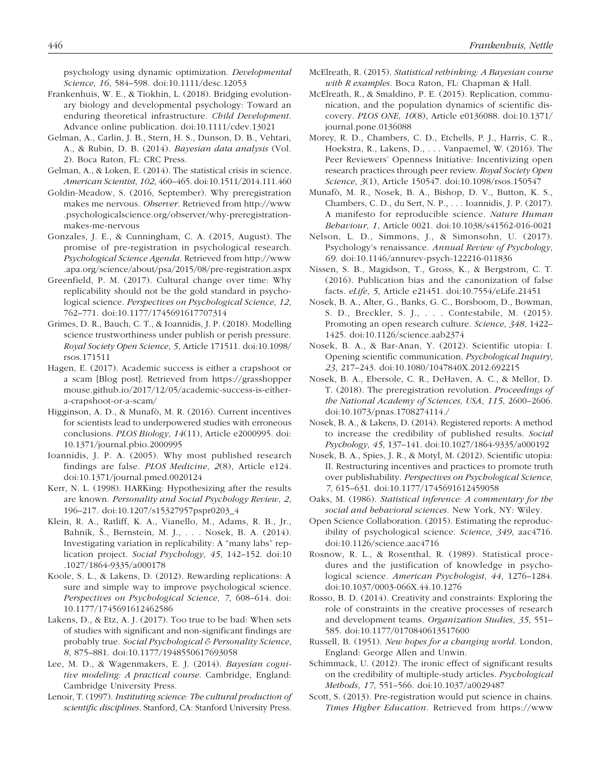psychology using dynamic optimization. *Developmental Science*, *16*, 584–598. [doi:10.1111/desc.12053](http://doi:10.1111/desc.12053)

- Frankenhuis, W. E., & Tiokhin, L. (2018). Bridging evolutionary biology and developmental psychology: Toward an enduring theoretical infrastructure. *Child Development*. Advance online publication. [doi:10.1111/cdev.13021](http://doi:10.1111/cdev.13021)
- Gelman, A., Carlin, J. B., Stern, H. S., Dunson, D. B., Vehtari, A., & Rubin, D. B. (2014). *Bayesian data analysis* (Vol. 2). Boca Raton, FL: CRC Press.
- Gelman, A., & Loken, E. (2014). The statistical crisis in science. *American Scientist*, *102*, 460–465. [doi:10.1511/2014.111.460](http://doi:10.1511/2014.111.460)
- Goldin-Meadow, S. (2016, September). Why preregistration makes me nervous. *Observer*. Retrieved from [http://www](http://www.psychologicalscience.org/observer/why-preregistration-makes-me-nervous) [.psychologicalscience.org/observer/why-preregistration](http://www.psychologicalscience.org/observer/why-preregistration-makes-me-nervous)[makes-me-nervous](http://www.psychologicalscience.org/observer/why-preregistration-makes-me-nervous)
- Gonzales, J. E., & Cunningham, C. A. (2015, August). The promise of pre-registration in psychological research. *Psychological Science Agenda*. Retrieved from [http://www](http://www.apa.org/science/about/psa/2015/08/pre-registration.aspx) [.apa.org/science/about/psa/2015/08/pre-registration.aspx](http://www.apa.org/science/about/psa/2015/08/pre-registration.aspx)
- Greenfield, P. M. (2017). Cultural change over time: Why replicability should not be the gold standard in psychological science. *Perspectives on Psychological Science*, *12*, 762–771. [doi:10.1177/1745691617707314](http://doi:10.1177/1745691617707314)
- Grimes, D. R., Bauch, C. T., & Ioannidis, J. P. (2018). Modelling science trustworthiness under publish or perish pressure. *Royal Society Open Science*, *5*, Article 171511. [doi:10.1098/](http://doi:10.1098/rsos.171511) [rsos.171511](http://doi:10.1098/rsos.171511)
- Hagen, E. (2017). Academic success is either a crapshoot or a scam [Blog post]. Retrieved from [https://grasshopper](https://grasshoppermouse.github.io/2017/12/05/academic-success-is-either-a-crapshoot-or-a-scam/) [mouse.github.io/2017/12/05/academic-success-is-either](https://grasshoppermouse.github.io/2017/12/05/academic-success-is-either-a-crapshoot-or-a-scam/)[a-crapshoot-or-a-scam/](https://grasshoppermouse.github.io/2017/12/05/academic-success-is-either-a-crapshoot-or-a-scam/)
- Higginson, A. D., & Munafò, M. R. (2016). Current incentives for scientists lead to underpowered studies with erroneous conclusions. *PLOS Biology*, *14*(11), Article e2000995. [doi:](http://doi:10.1371/journal.pbio.2000995) [10.1371/journal.pbio.2000995](http://doi:10.1371/journal.pbio.2000995)
- Ioannidis, J. P. A. (2005). Why most published research findings are false. *PLOS Medicine*, *2*(8), Article e124. [doi:10.1371/journal.pmed.0020124](http://doi:10.1371/journal.pmed.0020124)
- Kerr, N. L. (1998). HARKing: Hypothesizing after the results are known. *Personality and Social Psychology Review*, *2*, 196–217. [doi:10.1207/s15327957pspr0203\\_4](http://doi:10.1207/s15327957pspr0203_4)
- Klein, R. A., Ratliff, K. A., Vianello, M., Adams, R. B., Jr., Bahník, Š., Bernstein, M. J., . . . Nosek, B. A. (2014). Investigating variation in replicability: A "many labs" replication project. *Social Psychology*, *45*, 142–152. [doi:10](http://doi:10.1027/1864-9335/a000178) [.1027/1864-9335/a000178](http://doi:10.1027/1864-9335/a000178)
- Koole, S. L., & Lakens, D. (2012). Rewarding replications: A sure and simple way to improve psychological science. *Perspectives on Psychological Science*, *7*, 608–614. [doi:](http://doi:10.1177/1745691612462586) [10.1177/1745691612462586](http://doi:10.1177/1745691612462586)
- Lakens, D., & Etz, A. J. (2017). Too true to be bad: When sets of studies with significant and non-significant findings are probably true. *Social Psychological & Personality Science*, *8*, 875–881. [doi:10.1177/1948550617693058](http://doi:10.1177/1948550617693058)
- Lee, M. D., & Wagenmakers, E. J. (2014). *Bayesian cognitive modeling: A practical course*. Cambridge, England: Cambridge University Press.
- Lenoir, T. (1997). *Instituting science: The cultural production of scientific disciplines*. Stanford, CA: Stanford University Press.
- McElreath, R. (2015). *Statistical rethinking: A Bayesian course with R examples*. Boca Raton, FL: Chapman & Hall.
- McElreath, R., & Smaldino, P. E. (2015). Replication, communication, and the population dynamics of scientific discovery. *PLOS ONE*, *10*(8), Article e0136088. [doi:10.1371/](http://doi:10.1371/journal.pone.0136088) [journal.pone.0136088](http://doi:10.1371/journal.pone.0136088)
- Morey, R. D., Chambers, C. D., Etchells, P. J., Harris, C. R., Hoekstra, R., Lakens, D., . . . Vanpaemel, W. (2016). The Peer Reviewers' Openness Initiative: Incentivizing open research practices through peer review. *Royal Society Open Science*, *3*(1), Article 150547. [doi:10.1098/rsos.150547](http://doi:10.1098/rsos.150547)
- Munafò, M. R., Nosek, B. A., Bishop, D. V., Button, K. S., Chambers, C. D., du Sert, N. P., . . . Ioannidis, J. P. (2017). A manifesto for reproducible science. *Nature Human Behaviour*, *1*, Article 0021. [doi:10.1038/s41562-016-0021](http://doi:10.1038/s41562-016-0021)
- Nelson, L. D., Simmons, J., & Simonsohn, U. (2017). Psychology's renaissance. *Annual Review of Psychology*, *69*. [doi:10.1146/annurev-psych-122216-011836](http://doi:10.1146/annurev-psych-122216-011836)
- Nissen, S. B., Magidson, T., Gross, K., & Bergstrom, C. T. (2016). Publication bias and the canonization of false facts. *eLife*, *5*, Article e21451. [doi:10.7554/eLife.21451](http://doi:10.7554/eLife.21451)
- Nosek, B. A., Alter, G., Banks, G. C., Borsboom, D., Bowman, S. D., Breckler, S. J., . . . Contestabile, M. (2015). Promoting an open research culture. *Science*, *348*, 1422– 1425. [doi:10.1126/science.aab2374](http://doi:10.1126/science.aab2374)
- Nosek, B. A., & Bar-Anan, Y. (2012). Scientific utopia: I. Opening scientific communication. *Psychological Inquiry*, *23*, 217–243. [doi:10.1080/1047840X.2012.692215](http://doi:10.1080/1047840X.2012.692215)
- Nosek, B. A., Ebersole, C. R., DeHaven, A. C., & Mellor, D. T. (2018). The preregistration revolution. *Proceedings of the National Academy of Sciences, USA*, *115*, 2600–2606. [doi:10.1073/pnas.1708274114./](http://doi:10.1073/pnas.1708274114./)
- Nosek, B. A., & Lakens, D. (2014). Registered reports: A method to increase the credibility of published results. *Social Psychology*, *45*, 137–141. [doi:10.1027/1864-9335/a000192](http://doi:10.1027/1864-9335/a000192)
- Nosek, B. A., Spies, J. R., & Motyl, M. (2012). Scientific utopia: II. Restructuring incentives and practices to promote truth over publishability. *Perspectives on Psychological Science*, *7*, 615–631. [doi:10.1177/1745691612459058](http://doi:10.1177/1745691612459058)
- Oaks, M. (1986). *Statistical inference: A commentary for the social and behavioral sciences*. New York, NY: Wiley.
- Open Science Collaboration. (2015). Estimating the reproducibility of psychological science. *Science*, *349*, aac4716. [doi:10.1126/science.aac4716](http://doi:10.1126/science.aac4716)
- Rosnow, R. L., & Rosenthal, R. (1989). Statistical procedures and the justification of knowledge in psychological science. *American Psychologist*, *44*, 1276–1284. [doi:10.1037/0003-066X.44.10.1276](http://doi:10.1037/0003-066X.44.10.1276)
- Rosso, B. D. (2014). Creativity and constraints: Exploring the role of constraints in the creative processes of research and development teams. *Organization Studies*, *35*, 551– 585. [doi:10.1177/0170840613517600](http://doi:10.1177/0170840613517600)
- Russell, B. (1951). *New hopes for a changing world*. London, England: George Allen and Unwin.
- Schimmack, U. (2012). The ironic effect of significant results on the credibility of multiple-study articles. *Psychological Methods*, *17*, 551–566. [doi:10.1037/a0029487](http://doi:10.1037/a0029487)
- Scott, S. (2013). Pre-registration would put science in chains. *Times Higher Education*. Retrieved from [https://www](https://www.timeshighereducation.com/comment/opinion/pre-registration-would-put-science-in-chains/2005954.article)